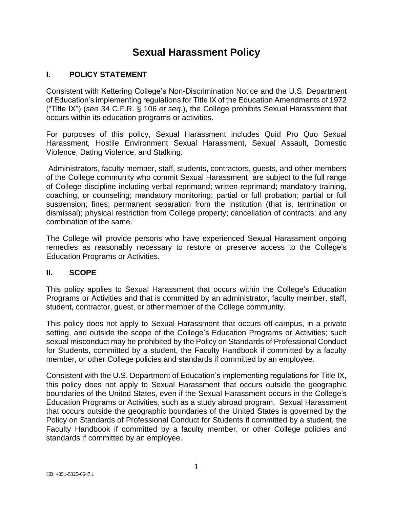# **Sexual Harassment Policy**

### **I. POLICY STATEMENT**

Consistent with Kettering College's Non-Discrimination Notice and the U.S. Department of Education's implementing regulations for Title IX of the Education Amendments of 1972 ("Title IX") (*see* 34 C.F.R. § 106 *et seq.*), the College prohibits Sexual Harassment that occurs within its education programs or activities.

For purposes of this policy, Sexual Harassment includes Quid Pro Quo Sexual Harassment, Hostile Environment Sexual Harassment, Sexual Assault, Domestic Violence, Dating Violence, and Stalking.

Administrators, faculty member, staff, students, contractors, guests, and other members of the College community who commit Sexual Harassment are subject to the full range of College discipline including verbal reprimand; written reprimand; mandatory training, coaching, or counseling; mandatory monitoring; partial or full probation; partial or full suspension; fines; permanent separation from the institution (that is, termination or dismissal); physical restriction from College property; cancellation of contracts; and any combination of the same.

The College will provide persons who have experienced Sexual Harassment ongoing remedies as reasonably necessary to restore or preserve access to the College's Education Programs or Activities.

### **II. SCOPE**

This policy applies to Sexual Harassment that occurs within the College's Education Programs or Activities and that is committed by an administrator, faculty member, staff, student, contractor, guest, or other member of the College community.

This policy does not apply to Sexual Harassment that occurs off-campus, in a private setting, and outside the scope of the College's Education Programs or Activities; such sexual misconduct may be prohibited by the Policy on Standards of Professional Conduct for Students, committed by a student, the Faculty Handbook if committed by a faculty member, or other College policies and standards if committed by an employee.

Consistent with the U.S. Department of Education's implementing regulations for Title IX, this policy does not apply to Sexual Harassment that occurs outside the geographic boundaries of the United States, even if the Sexual Harassment occurs in the College's Education Programs or Activities, such as a study abroad program. Sexual Harassment that occurs outside the geographic boundaries of the United States is governed by the Policy on Standards of Professional Conduct for Students if committed by a student, the Faculty Handbook if committed by a faculty member, or other College policies and standards if committed by an employee.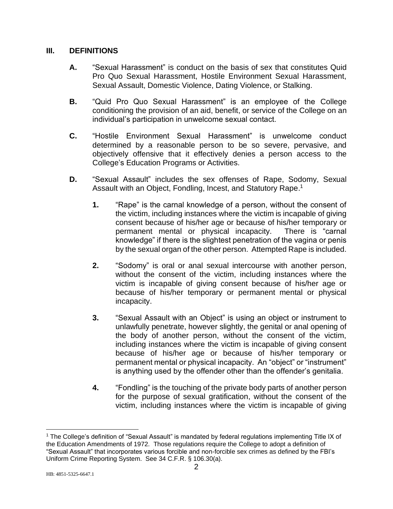#### **III. DEFINITIONS**

- **A.** "Sexual Harassment" is conduct on the basis of sex that constitutes Quid Pro Quo Sexual Harassment, Hostile Environment Sexual Harassment, Sexual Assault, Domestic Violence, Dating Violence, or Stalking.
- **B.** "Quid Pro Quo Sexual Harassment" is an employee of the College conditioning the provision of an aid, benefit, or service of the College on an individual's participation in unwelcome sexual contact.
- **C.** "Hostile Environment Sexual Harassment" is unwelcome conduct determined by a reasonable person to be so severe, pervasive, and objectively offensive that it effectively denies a person access to the College's Education Programs or Activities.
- **D.** "Sexual Assault" includes the sex offenses of Rape, Sodomy, Sexual Assault with an Object, Fondling, Incest, and Statutory Rape.<sup>1</sup>
	- **1.** "Rape" is the carnal knowledge of a person, without the consent of the victim, including instances where the victim is incapable of giving consent because of his/her age or because of his/her temporary or permanent mental or physical incapacity. There is "carnal knowledge" if there is the slightest penetration of the vagina or penis by the sexual organ of the other person. Attempted Rape is included.
	- **2.** "Sodomy" is oral or anal sexual intercourse with another person, without the consent of the victim, including instances where the victim is incapable of giving consent because of his/her age or because of his/her temporary or permanent mental or physical incapacity.
	- **3.** "Sexual Assault with an Object" is using an object or instrument to unlawfully penetrate, however slightly, the genital or anal opening of the body of another person, without the consent of the victim, including instances where the victim is incapable of giving consent because of his/her age or because of his/her temporary or permanent mental or physical incapacity. An "object" or "instrument" is anything used by the offender other than the offender's genitalia.
	- **4.** "Fondling" is the touching of the private body parts of another person for the purpose of sexual gratification, without the consent of the victim, including instances where the victim is incapable of giving

<sup>1</sup> The College's definition of "Sexual Assault" is mandated by federal regulations implementing Title IX of the Education Amendments of 1972. Those regulations require the College to adopt a definition of "Sexual Assault" that incorporates various forcible and non-forcible sex crimes as defined by the FBI's Uniform Crime Reporting System. See 34 C.F.R. § 106.30(a).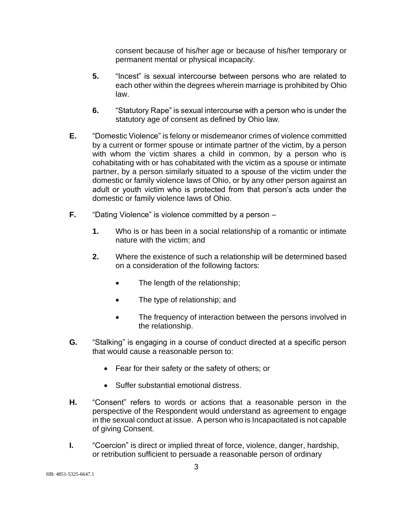consent because of his/her age or because of his/her temporary or permanent mental or physical incapacity.

- **5.** "Incest" is sexual intercourse between persons who are related to each other within the degrees wherein marriage is prohibited by Ohio law.
- **6.** "Statutory Rape" is sexual intercourse with a person who is under the statutory age of consent as defined by Ohio law.
- **E.** "Domestic Violence" is felony or misdemeanor crimes of violence committed by a current or former spouse or intimate partner of the victim, by a person with whom the victim shares a child in common, by a person who is cohabitating with or has cohabitated with the victim as a spouse or intimate partner, by a person similarly situated to a spouse of the victim under the domestic or family violence laws of Ohio, or by any other person against an adult or youth victim who is protected from that person's acts under the domestic or family violence laws of Ohio.
- **F.** "Dating Violence" is violence committed by a person
	- **1.** Who is or has been in a social relationship of a romantic or intimate nature with the victim; and
	- **2.** Where the existence of such a relationship will be determined based on a consideration of the following factors:
		- The length of the relationship;
		- The type of relationship; and
		- The frequency of interaction between the persons involved in the relationship.
- **G.** "Stalking" is engaging in a course of conduct directed at a specific person that would cause a reasonable person to:
	- Fear for their safety or the safety of others; or
	- Suffer substantial emotional distress.
- **H.** "Consent" refers to words or actions that a reasonable person in the perspective of the Respondent would understand as agreement to engage in the sexual conduct at issue. A person who is Incapacitated is not capable of giving Consent.
- **I.** "Coercion" is direct or implied threat of force, violence, danger, hardship, or retribution sufficient to persuade a reasonable person of ordinary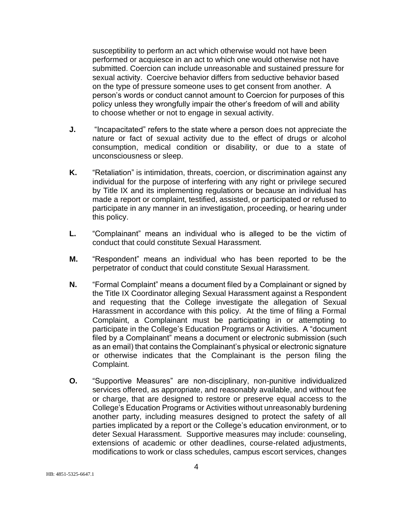susceptibility to perform an act which otherwise would not have been performed or acquiesce in an act to which one would otherwise not have submitted. Coercion can include unreasonable and sustained pressure for sexual activity. Coercive behavior differs from seductive behavior based on the type of pressure someone uses to get consent from another. A person's words or conduct cannot amount to Coercion for purposes of this policy unless they wrongfully impair the other's freedom of will and ability to choose whether or not to engage in sexual activity.

- **J.** "Incapacitated" refers to the state where a person does not appreciate the nature or fact of sexual activity due to the effect of drugs or alcohol consumption, medical condition or disability, or due to a state of unconsciousness or sleep.
- **K.** "Retaliation" is intimidation, threats, coercion, or discrimination against any individual for the purpose of interfering with any right or privilege secured by Title IX and its implementing regulations or because an individual has made a report or complaint, testified, assisted, or participated or refused to participate in any manner in an investigation, proceeding, or hearing under this policy.
- **L.** "Complainant" means an individual who is alleged to be the victim of conduct that could constitute Sexual Harassment.
- **M.** "Respondent" means an individual who has been reported to be the perpetrator of conduct that could constitute Sexual Harassment.
- **N.** "Formal Complaint" means a document filed by a Complainant or signed by the Title IX Coordinator alleging Sexual Harassment against a Respondent and requesting that the College investigate the allegation of Sexual Harassment in accordance with this policy. At the time of filing a Formal Complaint, a Complainant must be participating in or attempting to participate in the College's Education Programs or Activities. A "document filed by a Complainant" means a document or electronic submission (such as an email) that contains the Complainant's physical or electronic signature or otherwise indicates that the Complainant is the person filing the Complaint.
- **O.** "Supportive Measures" are non-disciplinary, non-punitive individualized services offered, as appropriate, and reasonably available, and without fee or charge, that are designed to restore or preserve equal access to the College's Education Programs or Activities without unreasonably burdening another party, including measures designed to protect the safety of all parties implicated by a report or the College's education environment, or to deter Sexual Harassment. Supportive measures may include: counseling, extensions of academic or other deadlines, course-related adjustments, modifications to work or class schedules, campus escort services, changes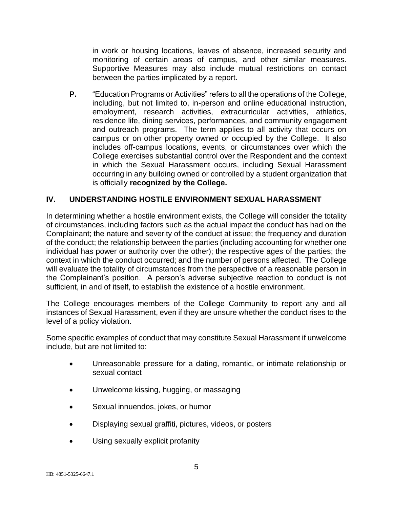in work or housing locations, leaves of absence, increased security and monitoring of certain areas of campus, and other similar measures. Supportive Measures may also include mutual restrictions on contact between the parties implicated by a report.

**P.** "Education Programs or Activities" refers to all the operations of the College, including, but not limited to, in-person and online educational instruction, employment, research activities, extracurricular activities, athletics, residence life, dining services, performances, and community engagement and outreach programs. The term applies to all activity that occurs on campus or on other property owned or occupied by the College. It also includes off-campus locations, events, or circumstances over which the College exercises substantial control over the Respondent and the context in which the Sexual Harassment occurs, including Sexual Harassment occurring in any building owned or controlled by a student organization that is officially **recognized by the College.**

#### **IV. UNDERSTANDING HOSTILE ENVIRONMENT SEXUAL HARASSMENT**

In determining whether a hostile environment exists, the College will consider the totality of circumstances, including factors such as the actual impact the conduct has had on the Complainant; the nature and severity of the conduct at issue; the frequency and duration of the conduct; the relationship between the parties (including accounting for whether one individual has power or authority over the other); the respective ages of the parties; the context in which the conduct occurred; and the number of persons affected. The College will evaluate the totality of circumstances from the perspective of a reasonable person in the Complainant's position. A person's adverse subjective reaction to conduct is not sufficient, in and of itself, to establish the existence of a hostile environment.

The College encourages members of the College Community to report any and all instances of Sexual Harassment, even if they are unsure whether the conduct rises to the level of a policy violation.

Some specific examples of conduct that may constitute Sexual Harassment if unwelcome include, but are not limited to:

- Unreasonable pressure for a dating, romantic, or intimate relationship or sexual contact
- Unwelcome kissing, hugging, or massaging
- Sexual innuendos, jokes, or humor
- Displaying sexual graffiti, pictures, videos, or posters
- Using sexually explicit profanity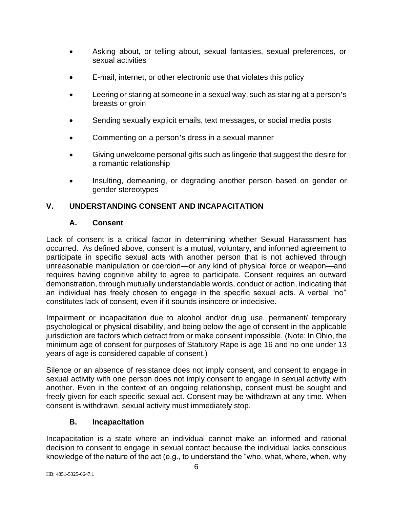- Asking about, or telling about, sexual fantasies, sexual preferences, or sexual activities
- E-mail, internet, or other electronic use that violates this policy
- Leering or staring at someone in a sexual way, such as staring at a person's breasts or groin
- Sending sexually explicit emails, text messages, or social media posts
- Commenting on a person's dress in a sexual manner
- Giving unwelcome personal gifts such as lingerie that suggest the desire for a romantic relationship
- Insulting, demeaning, or degrading another person based on gender or gender stereotypes

# **V. UNDERSTANDING CONSENT AND INCAPACITATION**

#### **A. Consent**

Lack of consent is a critical factor in determining whether Sexual Harassment has occurred. As defined above, consent is a mutual, voluntary, and informed agreement to participate in specific sexual acts with another person that is not achieved through unreasonable manipulation or coercion—or any kind of physical force or weapon—and requires having cognitive ability to agree to participate. Consent requires an outward demonstration, through mutually understandable words, conduct or action, indicating that an individual has freely chosen to engage in the specific sexual acts. A verbal "no" constitutes lack of consent, even if it sounds insincere or indecisive.

Impairment or incapacitation due to alcohol and/or drug use, permanent/ temporary psychological or physical disability, and being below the age of consent in the applicable jurisdiction are factors which detract from or make consent impossible. (Note: In Ohio, the minimum age of consent for purposes of Statutory Rape is age 16 and no one under 13 years of age is considered capable of consent.)

Silence or an absence of resistance does not imply consent, and consent to engage in sexual activity with one person does not imply consent to engage in sexual activity with another. Even in the context of an ongoing relationship, consent must be sought and freely given for each specific sexual act. Consent may be withdrawn at any time. When consent is withdrawn, sexual activity must immediately stop.

### **B. Incapacitation**

Incapacitation is a state where an individual cannot make an informed and rational decision to consent to engage in sexual contact because the individual lacks conscious knowledge of the nature of the act (e.g., to understand the "who, what, where, when, why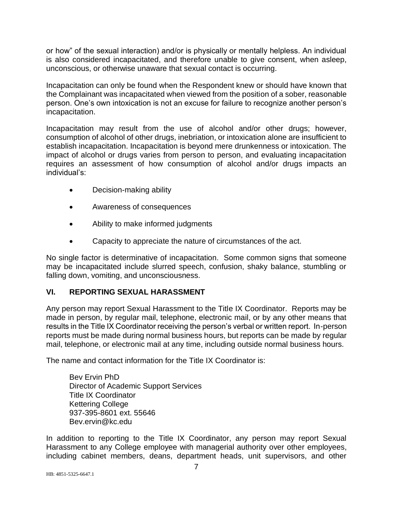or how" of the sexual interaction) and/or is physically or mentally helpless. An individual is also considered incapacitated, and therefore unable to give consent, when asleep, unconscious, or otherwise unaware that sexual contact is occurring.

Incapacitation can only be found when the Respondent knew or should have known that the Complainant was incapacitated when viewed from the position of a sober, reasonable person. One's own intoxication is not an excuse for failure to recognize another person's incapacitation.

Incapacitation may result from the use of alcohol and/or other drugs; however, consumption of alcohol of other drugs, inebriation, or intoxication alone are insufficient to establish incapacitation. Incapacitation is beyond mere drunkenness or intoxication. The impact of alcohol or drugs varies from person to person, and evaluating incapacitation requires an assessment of how consumption of alcohol and/or drugs impacts an individual's:

- Decision-making ability
- Awareness of consequences
- Ability to make informed judgments
- Capacity to appreciate the nature of circumstances of the act.

No single factor is determinative of incapacitation. Some common signs that someone may be incapacitated include slurred speech, confusion, shaky balance, stumbling or falling down, vomiting, and unconsciousness.

#### **VI. REPORTING SEXUAL HARASSMENT**

Any person may report Sexual Harassment to the Title IX Coordinator. Reports may be made in person, by regular mail, telephone, electronic mail, or by any other means that results in the Title IX Coordinator receiving the person's verbal or written report. In-person reports must be made during normal business hours, but reports can be made by regular mail, telephone, or electronic mail at any time, including outside normal business hours.

The name and contact information for the Title IX Coordinator is:

Bev Ervin PhD Director of Academic Support Services Title IX Coordinator Kettering College 937-395-8601 ext. 55646 Bev.ervin@kc.edu

In addition to reporting to the Title IX Coordinator, any person may report Sexual Harassment to any College employee with managerial authority over other employees, including cabinet members, deans, department heads, unit supervisors, and other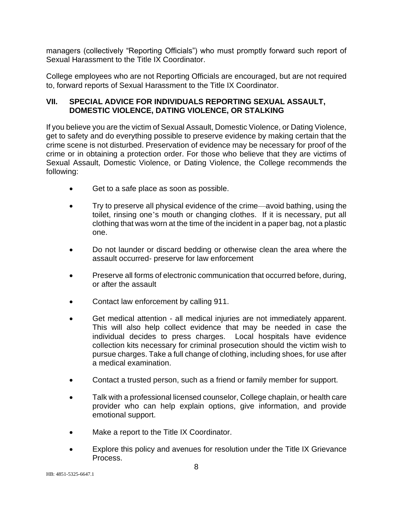managers (collectively "Reporting Officials") who must promptly forward such report of Sexual Harassment to the Title IX Coordinator.

College employees who are not Reporting Officials are encouraged, but are not required to, forward reports of Sexual Harassment to the Title IX Coordinator.

#### **VII. SPECIAL ADVICE FOR INDIVIDUALS REPORTING SEXUAL ASSAULT, DOMESTIC VIOLENCE, DATING VIOLENCE, OR STALKING**

If you believe you are the victim of Sexual Assault, Domestic Violence, or Dating Violence, get to safety and do everything possible to preserve evidence by making certain that the crime scene is not disturbed. Preservation of evidence may be necessary for proof of the crime or in obtaining a protection order. For those who believe that they are victims of Sexual Assault, Domestic Violence, or Dating Violence, the College recommends the following:

- Get to a safe place as soon as possible.
- Try to preserve all physical evidence of the crime—avoid bathing, using the toilet, rinsing one's mouth or changing clothes. If it is necessary, put all clothing that was worn at the time of the incident in a paper bag, not a plastic one.
- Do not launder or discard bedding or otherwise clean the area where the assault occurred- preserve for law enforcement
- Preserve all forms of electronic communication that occurred before, during, or after the assault
- Contact law enforcement by calling 911.
- Get medical attention all medical injuries are not immediately apparent. This will also help collect evidence that may be needed in case the individual decides to press charges. Local hospitals have evidence collection kits necessary for criminal prosecution should the victim wish to pursue charges. Take a full change of clothing, including shoes, for use after a medical examination.
- Contact a trusted person, such as a friend or family member for support.
- Talk with a professional licensed counselor, College chaplain, or health care provider who can help explain options, give information, and provide emotional support.
- Make a report to the Title IX Coordinator.
- Explore this policy and avenues for resolution under the Title IX Grievance Process.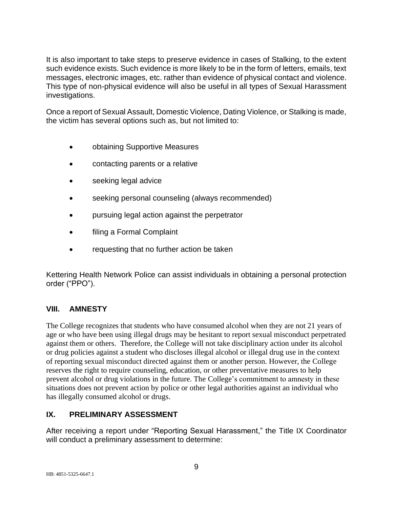It is also important to take steps to preserve evidence in cases of Stalking, to the extent such evidence exists. Such evidence is more likely to be in the form of letters, emails, text messages, electronic images, etc. rather than evidence of physical contact and violence. This type of non-physical evidence will also be useful in all types of Sexual Harassment investigations.

Once a report of Sexual Assault, Domestic Violence, Dating Violence, or Stalking is made, the victim has several options such as, but not limited to:

- obtaining Supportive Measures
- contacting parents or a relative
- seeking legal advice
- seeking personal counseling (always recommended)
- pursuing legal action against the perpetrator
- filing a Formal Complaint
- requesting that no further action be taken

Kettering Health Network Police can assist individuals in obtaining a personal protection order ("PPO").

### **VIII. AMNESTY**

The College recognizes that students who have consumed alcohol when they are not 21 years of age or who have been using illegal drugs may be hesitant to report sexual misconduct perpetrated against them or others. Therefore, the College will not take disciplinary action under its alcohol or drug policies against a student who discloses illegal alcohol or illegal drug use in the context of reporting sexual misconduct directed against them or another person. However, the College reserves the right to require counseling, education, or other preventative measures to help prevent alcohol or drug violations in the future. The College's commitment to amnesty in these situations does not prevent action by police or other legal authorities against an individual who has illegally consumed alcohol or drugs.

### **IX. PRELIMINARY ASSESSMENT**

After receiving a report under "Reporting Sexual Harassment," the Title IX Coordinator will conduct a preliminary assessment to determine: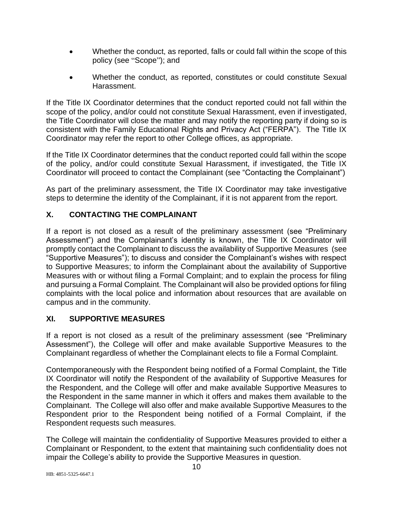- Whether the conduct, as reported, falls or could fall within the scope of this policy (see "Scope"); and
- Whether the conduct, as reported, constitutes or could constitute Sexual Harassment.

If the Title IX Coordinator determines that the conduct reported could not fall within the scope of the policy, and/or could not constitute Sexual Harassment, even if investigated, the Title Coordinator will close the matter and may notify the reporting party if doing so is consistent with the Family Educational Rights and Privacy Act ("FERPA"). The Title IX Coordinator may refer the report to other College offices, as appropriate.

If the Title IX Coordinator determines that the conduct reported could fall within the scope of the policy, and/or could constitute Sexual Harassment, if investigated, the Title IX Coordinator will proceed to contact the Complainant (see "Contacting the Complainant")

As part of the preliminary assessment, the Title IX Coordinator may take investigative steps to determine the identity of the Complainant, if it is not apparent from the report.

# **X. CONTACTING THE COMPLAINANT**

If a report is not closed as a result of the preliminary assessment (see "Preliminary Assessment") and the Complainant's identity is known, the Title IX Coordinator will promptly contact the Complainant to discuss the availability of Supportive Measures (see "Supportive Measures"); to discuss and consider the Complainant's wishes with respect to Supportive Measures; to inform the Complainant about the availability of Supportive Measures with or without filing a Formal Complaint; and to explain the process for filing and pursuing a Formal Complaint. The Complainant will also be provided options for filing complaints with the local police and information about resources that are available on campus and in the community.

### **XI. SUPPORTIVE MEASURES**

If a report is not closed as a result of the preliminary assessment (see "Preliminary Assessment"), the College will offer and make available Supportive Measures to the Complainant regardless of whether the Complainant elects to file a Formal Complaint.

Contemporaneously with the Respondent being notified of a Formal Complaint, the Title IX Coordinator will notify the Respondent of the availability of Supportive Measures for the Respondent, and the College will offer and make available Supportive Measures to the Respondent in the same manner in which it offers and makes them available to the Complainant. The College will also offer and make available Supportive Measures to the Respondent prior to the Respondent being notified of a Formal Complaint, if the Respondent requests such measures.

The College will maintain the confidentiality of Supportive Measures provided to either a Complainant or Respondent, to the extent that maintaining such confidentiality does not impair the College's ability to provide the Supportive Measures in question.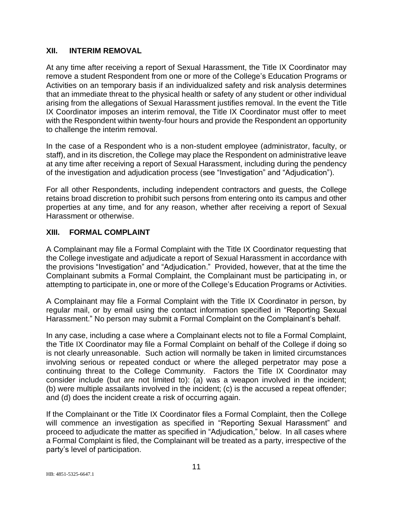#### **XII. INTERIM REMOVAL**

At any time after receiving a report of Sexual Harassment, the Title IX Coordinator may remove a student Respondent from one or more of the College's Education Programs or Activities on an temporary basis if an individualized safety and risk analysis determines that an immediate threat to the physical health or safety of any student or other individual arising from the allegations of Sexual Harassment justifies removal. In the event the Title IX Coordinator imposes an interim removal, the Title IX Coordinator must offer to meet with the Respondent within twenty-four hours and provide the Respondent an opportunity to challenge the interim removal.

In the case of a Respondent who is a non-student employee (administrator, faculty, or staff), and in its discretion, the College may place the Respondent on administrative leave at any time after receiving a report of Sexual Harassment, including during the pendency of the investigation and adjudication process (see "Investigation" and "Adjudication").

For all other Respondents, including independent contractors and guests, the College retains broad discretion to prohibit such persons from entering onto its campus and other properties at any time, and for any reason, whether after receiving a report of Sexual Harassment or otherwise.

### **XIII. FORMAL COMPLAINT**

A Complainant may file a Formal Complaint with the Title IX Coordinator requesting that the College investigate and adjudicate a report of Sexual Harassment in accordance with the provisions "Investigation" and "Adjudication." Provided, however, that at the time the Complainant submits a Formal Complaint, the Complainant must be participating in, or attempting to participate in, one or more of the College's Education Programs or Activities.

A Complainant may file a Formal Complaint with the Title IX Coordinator in person, by regular mail, or by email using the contact information specified in "Reporting Sexual Harassment." No person may submit a Formal Complaint on the Complainant's behalf.

In any case, including a case where a Complainant elects not to file a Formal Complaint, the Title IX Coordinator may file a Formal Complaint on behalf of the College if doing so is not clearly unreasonable. Such action will normally be taken in limited circumstances involving serious or repeated conduct or where the alleged perpetrator may pose a continuing threat to the College Community. Factors the Title IX Coordinator may consider include (but are not limited to): (a) was a weapon involved in the incident; (b) were multiple assailants involved in the incident; (c) is the accused a repeat offender; and (d) does the incident create a risk of occurring again.

If the Complainant or the Title IX Coordinator files a Formal Complaint, then the College will commence an investigation as specified in "Reporting Sexual Harassment" and proceed to adjudicate the matter as specified in "Adjudication," below. In all cases where a Formal Complaint is filed, the Complainant will be treated as a party, irrespective of the party's level of participation.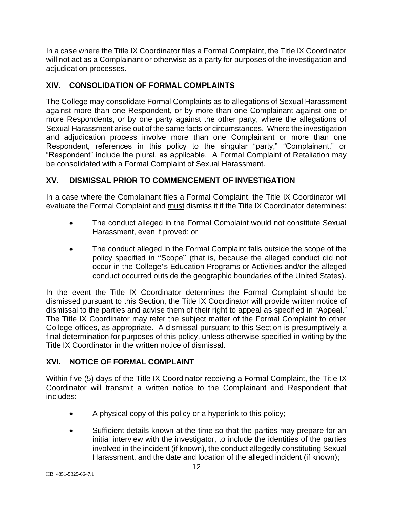In a case where the Title IX Coordinator files a Formal Complaint, the Title IX Coordinator will not act as a Complainant or otherwise as a party for purposes of the investigation and adjudication processes.

# **XIV. CONSOLIDATION OF FORMAL COMPLAINTS**

The College may consolidate Formal Complaints as to allegations of Sexual Harassment against more than one Respondent, or by more than one Complainant against one or more Respondents, or by one party against the other party, where the allegations of Sexual Harassment arise out of the same facts or circumstances. Where the investigation and adjudication process involve more than one Complainant or more than one Respondent, references in this policy to the singular "party," "Complainant," or "Respondent" include the plural, as applicable. A Formal Complaint of Retaliation may be consolidated with a Formal Complaint of Sexual Harassment.

# **XV. DISMISSAL PRIOR TO COMMENCEMENT OF INVESTIGATION**

In a case where the Complainant files a Formal Complaint, the Title IX Coordinator will evaluate the Formal Complaint and must dismiss it if the Title IX Coordinator determines:

- The conduct alleged in the Formal Complaint would not constitute Sexual Harassment, even if proved; or
- The conduct alleged in the Formal Complaint falls outside the scope of the policy specified in "Scope" (that is, because the alleged conduct did not occur in the College's Education Programs or Activities and/or the alleged conduct occurred outside the geographic boundaries of the United States).

In the event the Title IX Coordinator determines the Formal Complaint should be dismissed pursuant to this Section, the Title IX Coordinator will provide written notice of dismissal to the parties and advise them of their right to appeal as specified in "Appeal." The Title IX Coordinator may refer the subject matter of the Formal Complaint to other College offices, as appropriate. A dismissal pursuant to this Section is presumptively a final determination for purposes of this policy, unless otherwise specified in writing by the Title IX Coordinator in the written notice of dismissal.

### **XVI. NOTICE OF FORMAL COMPLAINT**

Within five (5) days of the Title IX Coordinator receiving a Formal Complaint, the Title IX Coordinator will transmit a written notice to the Complainant and Respondent that includes:

- A physical copy of this policy or a hyperlink to this policy;
- Sufficient details known at the time so that the parties may prepare for an initial interview with the investigator, to include the identities of the parties involved in the incident (if known), the conduct allegedly constituting Sexual Harassment, and the date and location of the alleged incident (if known);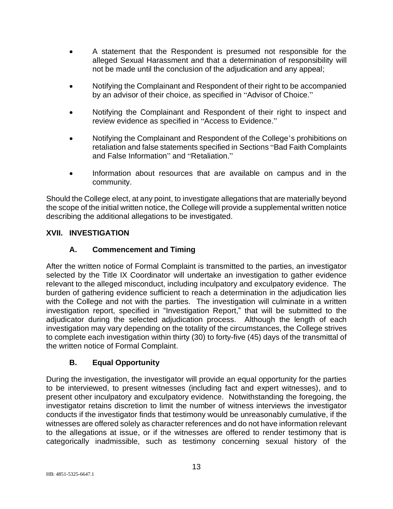- A statement that the Respondent is presumed not responsible for the alleged Sexual Harassment and that a determination of responsibility will not be made until the conclusion of the adjudication and any appeal;
- Notifying the Complainant and Respondent of their right to be accompanied by an advisor of their choice, as specified in "Advisor of Choice."
- Notifying the Complainant and Respondent of their right to inspect and review evidence as specified in "Access to Evidence."
- Notifying the Complainant and Respondent of the College's prohibitions on retaliation and false statements specified in Sections "Bad Faith Complaints and False Information" and "Retaliation."
- Information about resources that are available on campus and in the community.

Should the College elect, at any point, to investigate allegations that are materially beyond the scope of the initial written notice, the College will provide a supplemental written notice describing the additional allegations to be investigated.

# **XVII. INVESTIGATION**

# **A. Commencement and Timing**

After the written notice of Formal Complaint is transmitted to the parties, an investigator selected by the Title IX Coordinator will undertake an investigation to gather evidence relevant to the alleged misconduct, including inculpatory and exculpatory evidence. The burden of gathering evidence sufficient to reach a determination in the adjudication lies with the College and not with the parties. The investigation will culminate in a written investigation report, specified in "Investigation Report," that will be submitted to the adjudicator during the selected adjudication process. Although the length of each investigation may vary depending on the totality of the circumstances, the College strives to complete each investigation within thirty (30) to forty-five (45) days of the transmittal of the written notice of Formal Complaint.

### **B. Equal Opportunity**

During the investigation, the investigator will provide an equal opportunity for the parties to be interviewed, to present witnesses (including fact and expert witnesses), and to present other inculpatory and exculpatory evidence. Notwithstanding the foregoing, the investigator retains discretion to limit the number of witness interviews the investigator conducts if the investigator finds that testimony would be unreasonably cumulative, if the witnesses are offered solely as character references and do not have information relevant to the allegations at issue, or if the witnesses are offered to render testimony that is categorically inadmissible, such as testimony concerning sexual history of the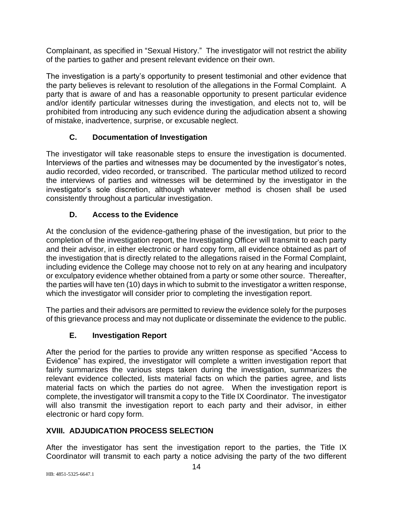Complainant, as specified in "Sexual History." The investigator will not restrict the ability of the parties to gather and present relevant evidence on their own.

The investigation is a party's opportunity to present testimonial and other evidence that the party believes is relevant to resolution of the allegations in the Formal Complaint. A party that is aware of and has a reasonable opportunity to present particular evidence and/or identify particular witnesses during the investigation, and elects not to, will be prohibited from introducing any such evidence during the adjudication absent a showing of mistake, inadvertence, surprise, or excusable neglect.

# **C. Documentation of Investigation**

The investigator will take reasonable steps to ensure the investigation is documented. Interviews of the parties and witnesses may be documented by the investigator's notes, audio recorded, video recorded, or transcribed. The particular method utilized to record the interviews of parties and witnesses will be determined by the investigator in the investigator's sole discretion, although whatever method is chosen shall be used consistently throughout a particular investigation.

# **D. Access to the Evidence**

At the conclusion of the evidence-gathering phase of the investigation, but prior to the completion of the investigation report, the Investigating Officer will transmit to each party and their advisor, in either electronic or hard copy form, all evidence obtained as part of the investigation that is directly related to the allegations raised in the Formal Complaint, including evidence the College may choose not to rely on at any hearing and inculpatory or exculpatory evidence whether obtained from a party or some other source. Thereafter, the parties will have ten (10) days in which to submit to the investigator a written response, which the investigator will consider prior to completing the investigation report.

The parties and their advisors are permitted to review the evidence solely for the purposes of this grievance process and may not duplicate or disseminate the evidence to the public.

# **E. Investigation Report**

After the period for the parties to provide any written response as specified "Access to Evidence" has expired, the investigator will complete a written investigation report that fairly summarizes the various steps taken during the investigation, summarizes the relevant evidence collected, lists material facts on which the parties agree, and lists material facts on which the parties do not agree. When the investigation report is complete, the investigator will transmit a copy to the Title IX Coordinator. The investigator will also transmit the investigation report to each party and their advisor, in either electronic or hard copy form.

# **XVIII. ADJUDICATION PROCESS SELECTION**

After the investigator has sent the investigation report to the parties, the Title IX Coordinator will transmit to each party a notice advising the party of the two different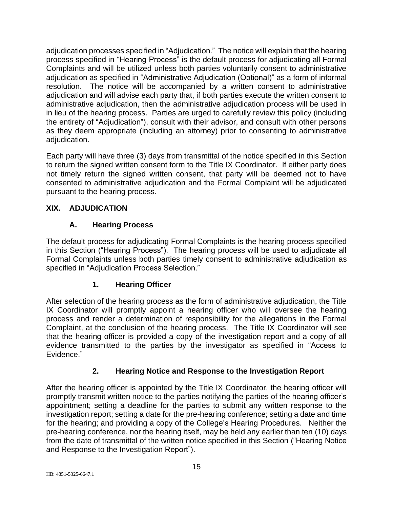adjudication processes specified in "Adjudication." The notice will explain that the hearing process specified in "Hearing Process" is the default process for adjudicating all Formal Complaints and will be utilized unless both parties voluntarily consent to administrative adjudication as specified in "Administrative Adjudication (Optional)" as a form of informal resolution. The notice will be accompanied by a written consent to administrative adjudication and will advise each party that, if both parties execute the written consent to administrative adjudication, then the administrative adjudication process will be used in in lieu of the hearing process. Parties are urged to carefully review this policy (including the entirety of "Adjudication"), consult with their advisor, and consult with other persons as they deem appropriate (including an attorney) prior to consenting to administrative adjudication.

Each party will have three (3) days from transmittal of the notice specified in this Section to return the signed written consent form to the Title IX Coordinator. If either party does not timely return the signed written consent, that party will be deemed not to have consented to administrative adjudication and the Formal Complaint will be adjudicated pursuant to the hearing process.

# **XIX. ADJUDICATION**

### **A. Hearing Process**

The default process for adjudicating Formal Complaints is the hearing process specified in this Section ("Hearing Process"). The hearing process will be used to adjudicate all Formal Complaints unless both parties timely consent to administrative adjudication as specified in "Adjudication Process Selection."

### **1. Hearing Officer**

After selection of the hearing process as the form of administrative adjudication, the Title IX Coordinator will promptly appoint a hearing officer who will oversee the hearing process and render a determination of responsibility for the allegations in the Formal Complaint, at the conclusion of the hearing process. The Title IX Coordinator will see that the hearing officer is provided a copy of the investigation report and a copy of all evidence transmitted to the parties by the investigator as specified in "Access to Evidence."

# **2. Hearing Notice and Response to the Investigation Report**

After the hearing officer is appointed by the Title IX Coordinator, the hearing officer will promptly transmit written notice to the parties notifying the parties of the hearing officer's appointment; setting a deadline for the parties to submit any written response to the investigation report; setting a date for the pre-hearing conference; setting a date and time for the hearing; and providing a copy of the College's Hearing Procedures. Neither the pre-hearing conference, nor the hearing itself, may be held any earlier than ten (10) days from the date of transmittal of the written notice specified in this Section ("Hearing Notice and Response to the Investigation Report").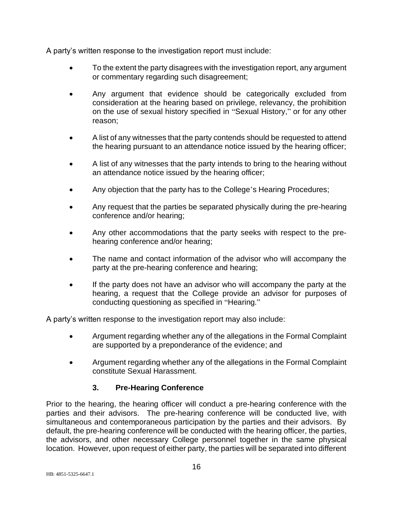A party's written response to the investigation report must include:

- To the extent the party disagrees with the investigation report, any argument or commentary regarding such disagreement;
- Any argument that evidence should be categorically excluded from consideration at the hearing based on privilege, relevancy, the prohibition on the use of sexual history specified in "Sexual History," or for any other reason;
- A list of any witnesses that the party contends should be requested to attend the hearing pursuant to an attendance notice issued by the hearing officer;
- A list of any witnesses that the party intends to bring to the hearing without an attendance notice issued by the hearing officer;
- Any objection that the party has to the College's Hearing Procedures;
- Any request that the parties be separated physically during the pre-hearing conference and/or hearing;
- Any other accommodations that the party seeks with respect to the prehearing conference and/or hearing;
- The name and contact information of the advisor who will accompany the party at the pre-hearing conference and hearing;
- If the party does not have an advisor who will accompany the party at the hearing, a request that the College provide an advisor for purposes of conducting questioning as specified in "Hearing."

A party's written response to the investigation report may also include:

- Argument regarding whether any of the allegations in the Formal Complaint are supported by a preponderance of the evidence; and
- Argument regarding whether any of the allegations in the Formal Complaint constitute Sexual Harassment.

# **3. Pre-Hearing Conference**

Prior to the hearing, the hearing officer will conduct a pre-hearing conference with the parties and their advisors. The pre-hearing conference will be conducted live, with simultaneous and contemporaneous participation by the parties and their advisors. By default, the pre-hearing conference will be conducted with the hearing officer, the parties, the advisors, and other necessary College personnel together in the same physical location. However, upon request of either party, the parties will be separated into different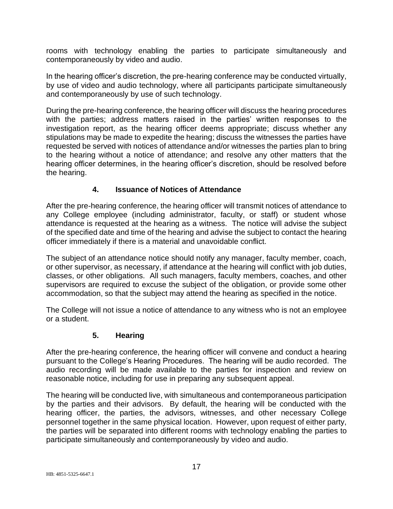rooms with technology enabling the parties to participate simultaneously and contemporaneously by video and audio.

In the hearing officer's discretion, the pre-hearing conference may be conducted virtually, by use of video and audio technology, where all participants participate simultaneously and contemporaneously by use of such technology.

During the pre-hearing conference, the hearing officer will discuss the hearing procedures with the parties; address matters raised in the parties' written responses to the investigation report, as the hearing officer deems appropriate; discuss whether any stipulations may be made to expedite the hearing; discuss the witnesses the parties have requested be served with notices of attendance and/or witnesses the parties plan to bring to the hearing without a notice of attendance; and resolve any other matters that the hearing officer determines, in the hearing officer's discretion, should be resolved before the hearing.

# **4. Issuance of Notices of Attendance**

After the pre-hearing conference, the hearing officer will transmit notices of attendance to any College employee (including administrator, faculty, or staff) or student whose attendance is requested at the hearing as a witness. The notice will advise the subject of the specified date and time of the hearing and advise the subject to contact the hearing officer immediately if there is a material and unavoidable conflict.

The subject of an attendance notice should notify any manager, faculty member, coach, or other supervisor, as necessary, if attendance at the hearing will conflict with job duties, classes, or other obligations. All such managers, faculty members, coaches, and other supervisors are required to excuse the subject of the obligation, or provide some other accommodation, so that the subject may attend the hearing as specified in the notice.

The College will not issue a notice of attendance to any witness who is not an employee or a student.

### **5. Hearing**

After the pre-hearing conference, the hearing officer will convene and conduct a hearing pursuant to the College's Hearing Procedures. The hearing will be audio recorded. The audio recording will be made available to the parties for inspection and review on reasonable notice, including for use in preparing any subsequent appeal.

The hearing will be conducted live, with simultaneous and contemporaneous participation by the parties and their advisors. By default, the hearing will be conducted with the hearing officer, the parties, the advisors, witnesses, and other necessary College personnel together in the same physical location. However, upon request of either party, the parties will be separated into different rooms with technology enabling the parties to participate simultaneously and contemporaneously by video and audio.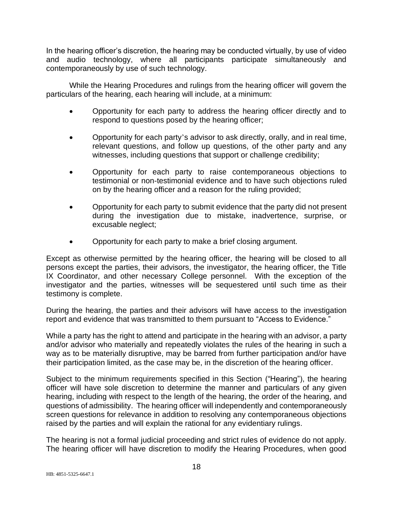In the hearing officer's discretion, the hearing may be conducted virtually, by use of video and audio technology, where all participants participate simultaneously and contemporaneously by use of such technology.

While the Hearing Procedures and rulings from the hearing officer will govern the particulars of the hearing, each hearing will include, at a minimum:

- Opportunity for each party to address the hearing officer directly and to respond to questions posed by the hearing officer;
- Opportunity for each party's advisor to ask directly, orally, and in real time, relevant questions, and follow up questions, of the other party and any witnesses, including questions that support or challenge credibility;
- Opportunity for each party to raise contemporaneous objections to testimonial or non-testimonial evidence and to have such objections ruled on by the hearing officer and a reason for the ruling provided;
- Opportunity for each party to submit evidence that the party did not present during the investigation due to mistake, inadvertence, surprise, or excusable neglect;
- Opportunity for each party to make a brief closing argument.

Except as otherwise permitted by the hearing officer, the hearing will be closed to all persons except the parties, their advisors, the investigator, the hearing officer, the Title IX Coordinator, and other necessary College personnel. With the exception of the investigator and the parties, witnesses will be sequestered until such time as their testimony is complete.

During the hearing, the parties and their advisors will have access to the investigation report and evidence that was transmitted to them pursuant to "Access to Evidence."

While a party has the right to attend and participate in the hearing with an advisor, a party and/or advisor who materially and repeatedly violates the rules of the hearing in such a way as to be materially disruptive, may be barred from further participation and/or have their participation limited, as the case may be, in the discretion of the hearing officer.

Subject to the minimum requirements specified in this Section ("Hearing"), the hearing officer will have sole discretion to determine the manner and particulars of any given hearing, including with respect to the length of the hearing, the order of the hearing, and questions of admissibility. The hearing officer will independently and contemporaneously screen questions for relevance in addition to resolving any contemporaneous objections raised by the parties and will explain the rational for any evidentiary rulings.

The hearing is not a formal judicial proceeding and strict rules of evidence do not apply. The hearing officer will have discretion to modify the Hearing Procedures, when good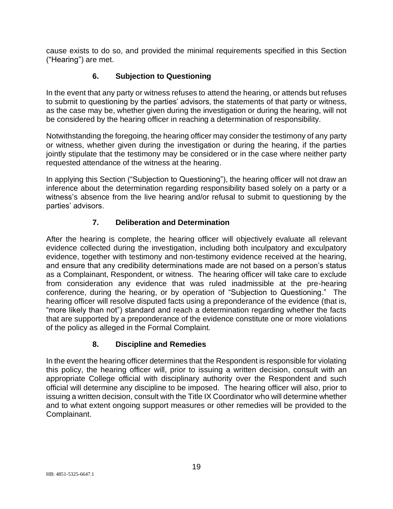cause exists to do so, and provided the minimal requirements specified in this Section ("Hearing") are met.

# **6. Subjection to Questioning**

In the event that any party or witness refuses to attend the hearing, or attends but refuses to submit to questioning by the parties' advisors, the statements of that party or witness, as the case may be, whether given during the investigation or during the hearing, will not be considered by the hearing officer in reaching a determination of responsibility.

Notwithstanding the foregoing, the hearing officer may consider the testimony of any party or witness, whether given during the investigation or during the hearing, if the parties jointly stipulate that the testimony may be considered or in the case where neither party requested attendance of the witness at the hearing.

In applying this Section ("Subjection to Questioning"), the hearing officer will not draw an inference about the determination regarding responsibility based solely on a party or a witness's absence from the live hearing and/or refusal to submit to questioning by the parties' advisors.

# **7. Deliberation and Determination**

After the hearing is complete, the hearing officer will objectively evaluate all relevant evidence collected during the investigation, including both inculpatory and exculpatory evidence, together with testimony and non-testimony evidence received at the hearing, and ensure that any credibility determinations made are not based on a person's status as a Complainant, Respondent, or witness. The hearing officer will take care to exclude from consideration any evidence that was ruled inadmissible at the pre-hearing conference, during the hearing, or by operation of "Subjection to Questioning." The hearing officer will resolve disputed facts using a preponderance of the evidence (that is, "more likely than not") standard and reach a determination regarding whether the facts that are supported by a preponderance of the evidence constitute one or more violations of the policy as alleged in the Formal Complaint.

# **8. Discipline and Remedies**

In the event the hearing officer determines that the Respondent is responsible for violating this policy, the hearing officer will, prior to issuing a written decision, consult with an appropriate College official with disciplinary authority over the Respondent and such official will determine any discipline to be imposed. The hearing officer will also, prior to issuing a written decision, consult with the Title IX Coordinator who will determine whether and to what extent ongoing support measures or other remedies will be provided to the Complainant.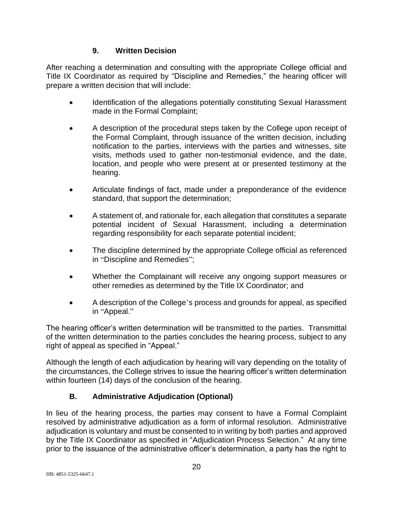# **9. Written Decision**

After reaching a determination and consulting with the appropriate College official and Title IX Coordinator as required by "Discipline and Remedies," the hearing officer will prepare a written decision that will include:

- Identification of the allegations potentially constituting Sexual Harassment made in the Formal Complaint;
- A description of the procedural steps taken by the College upon receipt of the Formal Complaint, through issuance of the written decision, including notification to the parties, interviews with the parties and witnesses, site visits, methods used to gather non-testimonial evidence, and the date, location, and people who were present at or presented testimony at the hearing.
- Articulate findings of fact, made under a preponderance of the evidence standard, that support the determination;
- A statement of, and rationale for, each allegation that constitutes a separate potential incident of Sexual Harassment, including a determination regarding responsibility for each separate potential incident;
- The discipline determined by the appropriate College official as referenced in "Discipline and Remedies";
- Whether the Complainant will receive any ongoing support measures or other remedies as determined by the Title IX Coordinator; and
- A description of the College's process and grounds for appeal, as specified in "Appeal."

The hearing officer's written determination will be transmitted to the parties. Transmittal of the written determination to the parties concludes the hearing process, subject to any right of appeal as specified in "Appeal."

Although the length of each adjudication by hearing will vary depending on the totality of the circumstances, the College strives to issue the hearing officer's written determination within fourteen (14) days of the conclusion of the hearing.

# **B. Administrative Adjudication (Optional)**

In lieu of the hearing process, the parties may consent to have a Formal Complaint resolved by administrative adjudication as a form of informal resolution. Administrative adjudication is voluntary and must be consented to in writing by both parties and approved by the Title IX Coordinator as specified in "Adjudication Process Selection." At any time prior to the issuance of the administrative officer's determination, a party has the right to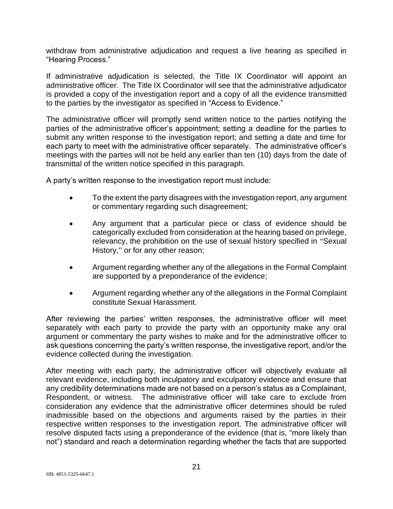withdraw from administrative adjudication and request a live hearing as specified in "Hearing Process."

If administrative adjudication is selected, the Title IX Coordinator will appoint an administrative officer. The Title IX Coordinator will see that the administrative adjudicator is provided a copy of the investigation report and a copy of all the evidence transmitted to the parties by the investigator as specified in "Access to Evidence."

The administrative officer will promptly send written notice to the parties notifying the parties of the administrative officer's appointment; setting a deadline for the parties to submit any written response to the investigation report; and setting a date and time for each party to meet with the administrative officer separately. The administrative officer's meetings with the parties will not be held any earlier than ten (10) days from the date of transmittal of the written notice specified in this paragraph.

A party's written response to the investigation report must include:

- To the extent the party disagrees with the investigation report, any argument or commentary regarding such disagreement;
- Any argument that a particular piece or class of evidence should be categorically excluded from consideration at the hearing based on privilege, relevancy, the prohibition on the use of sexual history specified in "Sexual History," or for any other reason;
- Argument regarding whether any of the allegations in the Formal Complaint are supported by a preponderance of the evidence;
- Argument regarding whether any of the allegations in the Formal Complaint constitute Sexual Harassment.

After reviewing the parties' written responses, the administrative officer will meet separately with each party to provide the party with an opportunity make any oral argument or commentary the party wishes to make and for the administrative officer to ask questions concerning the party's written response, the investigative report, and/or the evidence collected during the investigation.

After meeting with each party, the administrative officer will objectively evaluate all relevant evidence, including both inculpatory and exculpatory evidence and ensure that any credibility determinations made are not based on a person's status as a Complainant, Respondent, or witness. The administrative officer will take care to exclude from consideration any evidence that the administrative officer determines should be ruled inadmissible based on the objections and arguments raised by the parties in their respective written responses to the investigation report. The administrative officer will resolve disputed facts using a preponderance of the evidence (that is, "more likely than not") standard and reach a determination regarding whether the facts that are supported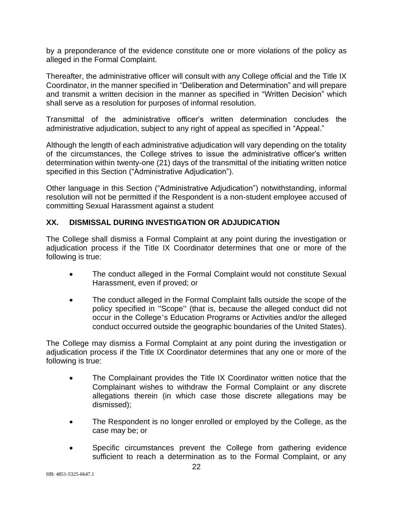by a preponderance of the evidence constitute one or more violations of the policy as alleged in the Formal Complaint.

Thereafter, the administrative officer will consult with any College official and the Title IX Coordinator, in the manner specified in "Deliberation and Determination" and will prepare and transmit a written decision in the manner as specified in "Written Decision" which shall serve as a resolution for purposes of informal resolution.

Transmittal of the administrative officer's written determination concludes the administrative adjudication, subject to any right of appeal as specified in "Appeal."

Although the length of each administrative adjudication will vary depending on the totality of the circumstances, the College strives to issue the administrative officer's written determination within twenty-one (21) days of the transmittal of the initiating written notice specified in this Section ("Administrative Adjudication").

Other language in this Section ("Administrative Adjudication") notwithstanding, informal resolution will not be permitted if the Respondent is a non-student employee accused of committing Sexual Harassment against a student

#### **XX. DISMISSAL DURING INVESTIGATION OR ADJUDICATION**

The College shall dismiss a Formal Complaint at any point during the investigation or adjudication process if the Title IX Coordinator determines that one or more of the following is true:

- The conduct alleged in the Formal Complaint would not constitute Sexual Harassment, even if proved; or
- The conduct alleged in the Formal Complaint falls outside the scope of the policy specified in "Scope" (that is, because the alleged conduct did not occur in the College's Education Programs or Activities and/or the alleged conduct occurred outside the geographic boundaries of the United States).

The College may dismiss a Formal Complaint at any point during the investigation or adjudication process if the Title IX Coordinator determines that any one or more of the following is true:

- The Complainant provides the Title IX Coordinator written notice that the Complainant wishes to withdraw the Formal Complaint or any discrete allegations therein (in which case those discrete allegations may be dismissed);
- The Respondent is no longer enrolled or employed by the College, as the case may be; or
- Specific circumstances prevent the College from gathering evidence sufficient to reach a determination as to the Formal Complaint, or any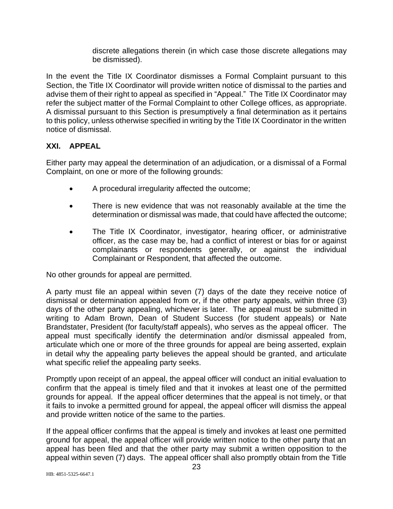discrete allegations therein (in which case those discrete allegations may be dismissed).

In the event the Title IX Coordinator dismisses a Formal Complaint pursuant to this Section, the Title IX Coordinator will provide written notice of dismissal to the parties and advise them of their right to appeal as specified in "Appeal." The Title IX Coordinator may refer the subject matter of the Formal Complaint to other College offices, as appropriate. A dismissal pursuant to this Section is presumptively a final determination as it pertains to this policy, unless otherwise specified in writing by the Title IX Coordinator in the written notice of dismissal.

#### **XXI. APPEAL**

Either party may appeal the determination of an adjudication, or a dismissal of a Formal Complaint, on one or more of the following grounds:

- A procedural irregularity affected the outcome;
- There is new evidence that was not reasonably available at the time the determination or dismissal was made, that could have affected the outcome;
- The Title IX Coordinator, investigator, hearing officer, or administrative officer, as the case may be, had a conflict of interest or bias for or against complainants or respondents generally, or against the individual Complainant or Respondent, that affected the outcome.

No other grounds for appeal are permitted.

A party must file an appeal within seven (7) days of the date they receive notice of dismissal or determination appealed from or, if the other party appeals, within three (3) days of the other party appealing, whichever is later. The appeal must be submitted in writing to Adam Brown, Dean of Student Success (for student appeals) or Nate Brandstater, President (for faculty/staff appeals), who serves as the appeal officer. The appeal must specifically identify the determination and/or dismissal appealed from, articulate which one or more of the three grounds for appeal are being asserted, explain in detail why the appealing party believes the appeal should be granted, and articulate what specific relief the appealing party seeks.

Promptly upon receipt of an appeal, the appeal officer will conduct an initial evaluation to confirm that the appeal is timely filed and that it invokes at least one of the permitted grounds for appeal. If the appeal officer determines that the appeal is not timely, or that it fails to invoke a permitted ground for appeal, the appeal officer will dismiss the appeal and provide written notice of the same to the parties.

If the appeal officer confirms that the appeal is timely and invokes at least one permitted ground for appeal, the appeal officer will provide written notice to the other party that an appeal has been filed and that the other party may submit a written opposition to the appeal within seven (7) days. The appeal officer shall also promptly obtain from the Title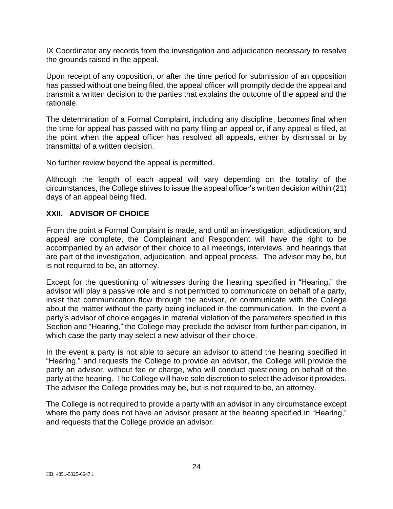IX Coordinator any records from the investigation and adjudication necessary to resolve the grounds raised in the appeal.

Upon receipt of any opposition, or after the time period for submission of an opposition has passed without one being filed, the appeal officer will promptly decide the appeal and transmit a written decision to the parties that explains the outcome of the appeal and the rationale.

The determination of a Formal Complaint, including any discipline, becomes final when the time for appeal has passed with no party filing an appeal or, if any appeal is filed, at the point when the appeal officer has resolved all appeals, either by dismissal or by transmittal of a written decision.

No further review beyond the appeal is permitted.

Although the length of each appeal will vary depending on the totality of the circumstances, the College strives to issue the appeal officer's written decision within (21) days of an appeal being filed.

#### **XXII. ADVISOR OF CHOICE**

From the point a Formal Complaint is made, and until an investigation, adjudication, and appeal are complete, the Complainant and Respondent will have the right to be accompanied by an advisor of their choice to all meetings, interviews, and hearings that are part of the investigation, adjudication, and appeal process. The advisor may be, but is not required to be, an attorney.

Except for the questioning of witnesses during the hearing specified in "Hearing," the advisor will play a passive role and is not permitted to communicate on behalf of a party, insist that communication flow through the advisor, or communicate with the College about the matter without the party being included in the communication. In the event a party's advisor of choice engages in material violation of the parameters specified in this Section and "Hearing," the College may preclude the advisor from further participation, in which case the party may select a new advisor of their choice.

In the event a party is not able to secure an advisor to attend the hearing specified in "Hearing," and requests the College to provide an advisor, the College will provide the party an advisor, without fee or charge, who will conduct questioning on behalf of the party at the hearing. The College will have sole discretion to select the advisor it provides. The advisor the College provides may be, but is not required to be, an attorney.

The College is not required to provide a party with an advisor in any circumstance except where the party does not have an advisor present at the hearing specified in "Hearing," and requests that the College provide an advisor.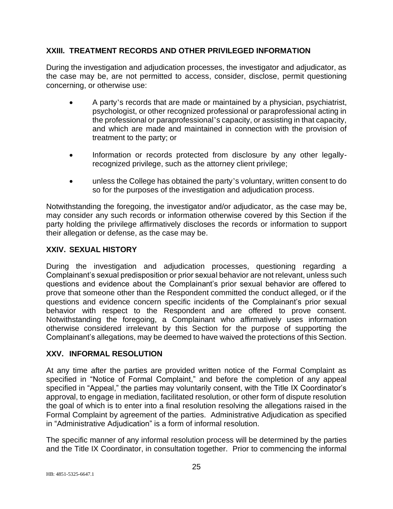#### **XXIII. TREATMENT RECORDS AND OTHER PRIVILEGED INFORMATION**

During the investigation and adjudication processes, the investigator and adjudicator, as the case may be, are not permitted to access, consider, disclose, permit questioning concerning, or otherwise use:

- A party's records that are made or maintained by a physician, psychiatrist, psychologist, or other recognized professional or paraprofessional acting in the professional or paraprofessional's capacity, or assisting in that capacity, and which are made and maintained in connection with the provision of treatment to the party; or
- Information or records protected from disclosure by any other legallyrecognized privilege, such as the attorney client privilege;
- unless the College has obtained the party's voluntary, written consent to do so for the purposes of the investigation and adjudication process.

Notwithstanding the foregoing, the investigator and/or adjudicator, as the case may be, may consider any such records or information otherwise covered by this Section if the party holding the privilege affirmatively discloses the records or information to support their allegation or defense, as the case may be.

### **XXIV. SEXUAL HISTORY**

During the investigation and adjudication processes, questioning regarding a Complainant's sexual predisposition or prior sexual behavior are not relevant, unless such questions and evidence about the Complainant's prior sexual behavior are offered to prove that someone other than the Respondent committed the conduct alleged, or if the questions and evidence concern specific incidents of the Complainant's prior sexual behavior with respect to the Respondent and are offered to prove consent. Notwithstanding the foregoing, a Complainant who affirmatively uses information otherwise considered irrelevant by this Section for the purpose of supporting the Complainant's allegations, may be deemed to have waived the protections of this Section.

#### **XXV. INFORMAL RESOLUTION**

At any time after the parties are provided written notice of the Formal Complaint as specified in "Notice of Formal Complaint," and before the completion of any appeal specified in "Appeal," the parties may voluntarily consent, with the Title IX Coordinator's approval, to engage in mediation, facilitated resolution, or other form of dispute resolution the goal of which is to enter into a final resolution resolving the allegations raised in the Formal Complaint by agreement of the parties. Administrative Adjudication as specified in "Administrative Adjudication" is a form of informal resolution.

The specific manner of any informal resolution process will be determined by the parties and the Title IX Coordinator, in consultation together. Prior to commencing the informal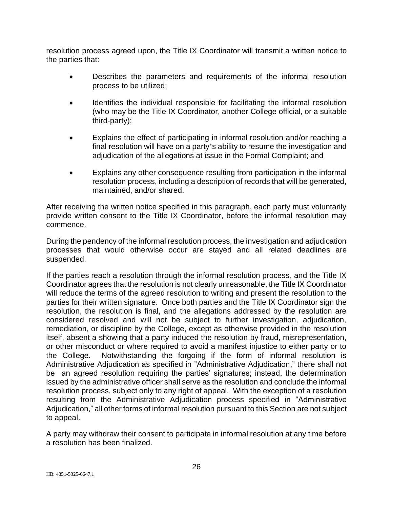resolution process agreed upon, the Title IX Coordinator will transmit a written notice to the parties that:

- Describes the parameters and requirements of the informal resolution process to be utilized;
- Identifies the individual responsible for facilitating the informal resolution (who may be the Title IX Coordinator, another College official, or a suitable third-party);
- Explains the effect of participating in informal resolution and/or reaching a final resolution will have on a party's ability to resume the investigation and adjudication of the allegations at issue in the Formal Complaint; and
- Explains any other consequence resulting from participation in the informal resolution process, including a description of records that will be generated, maintained, and/or shared.

After receiving the written notice specified in this paragraph, each party must voluntarily provide written consent to the Title IX Coordinator, before the informal resolution may commence.

During the pendency of the informal resolution process, the investigation and adjudication processes that would otherwise occur are stayed and all related deadlines are suspended.

If the parties reach a resolution through the informal resolution process, and the Title IX Coordinator agrees that the resolution is not clearly unreasonable, the Title IX Coordinator will reduce the terms of the agreed resolution to writing and present the resolution to the parties for their written signature. Once both parties and the Title IX Coordinator sign the resolution, the resolution is final, and the allegations addressed by the resolution are considered resolved and will not be subject to further investigation, adjudication, remediation, or discipline by the College, except as otherwise provided in the resolution itself, absent a showing that a party induced the resolution by fraud, misrepresentation, or other misconduct or where required to avoid a manifest injustice to either party or to the College. Notwithstanding the forgoing if the form of informal resolution is Administrative Adjudication as specified in "Administrative Adjudication," there shall not be an agreed resolution requiring the parties' signatures; instead, the determination issued by the administrative officer shall serve as the resolution and conclude the informal resolution process, subject only to any right of appeal. With the exception of a resolution resulting from the Administrative Adjudication process specified in "Administrative Adjudication," all other forms of informal resolution pursuant to this Section are not subject to appeal.

A party may withdraw their consent to participate in informal resolution at any time before a resolution has been finalized.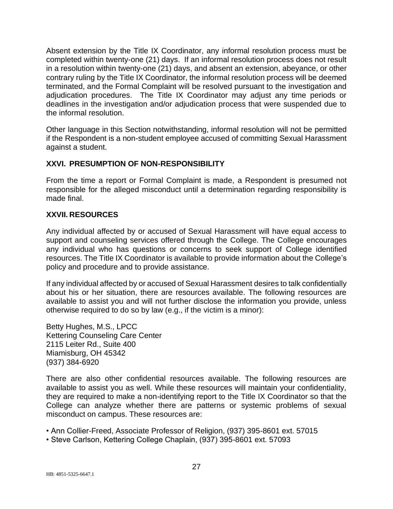Absent extension by the Title IX Coordinator, any informal resolution process must be completed within twenty-one (21) days. If an informal resolution process does not result in a resolution within twenty-one (21) days, and absent an extension, abeyance, or other contrary ruling by the Title IX Coordinator, the informal resolution process will be deemed terminated, and the Formal Complaint will be resolved pursuant to the investigation and adjudication procedures. The Title IX Coordinator may adjust any time periods or deadlines in the investigation and/or adjudication process that were suspended due to the informal resolution.

Other language in this Section notwithstanding, informal resolution will not be permitted if the Respondent is a non-student employee accused of committing Sexual Harassment against a student.

#### **XXVI. PRESUMPTION OF NON-RESPONSIBILITY**

From the time a report or Formal Complaint is made, a Respondent is presumed not responsible for the alleged misconduct until a determination regarding responsibility is made final.

#### **XXVII. RESOURCES**

Any individual affected by or accused of Sexual Harassment will have equal access to support and counseling services offered through the College. The College encourages any individual who has questions or concerns to seek support of College identified resources. The Title IX Coordinator is available to provide information about the College's policy and procedure and to provide assistance.

If any individual affected by or accused of Sexual Harassment desires to talk confidentially about his or her situation, there are resources available. The following resources are available to assist you and will not further disclose the information you provide, unless otherwise required to do so by law (e.g., if the victim is a minor):

Betty Hughes, M.S., LPCC Kettering Counseling Care Center 2115 Leiter Rd., Suite 400 Miamisburg, OH 45342 (937) 384-6920

There are also other confidential resources available. The following resources are available to assist you as well. While these resources will maintain your confidentiality, they are required to make a non-identifying report to the Title IX Coordinator so that the College can analyze whether there are patterns or systemic problems of sexual misconduct on campus. These resources are:

• Ann Collier-Freed, Associate Professor of Religion, (937) 395-8601 ext. 57015

• Steve Carlson, Kettering College Chaplain, (937) 395-8601 ext. 57093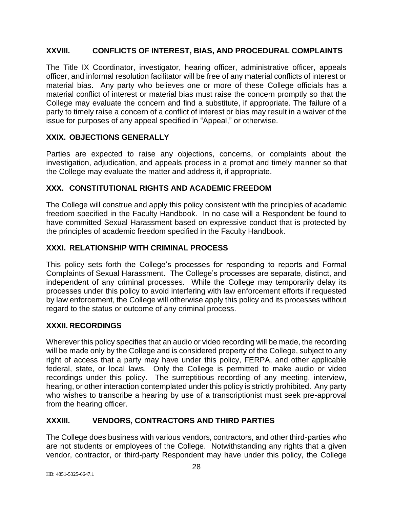### **XXVIII. CONFLICTS OF INTEREST, BIAS, AND PROCEDURAL COMPLAINTS**

The Title IX Coordinator, investigator, hearing officer, administrative officer, appeals officer, and informal resolution facilitator will be free of any material conflicts of interest or material bias. Any party who believes one or more of these College officials has a material conflict of interest or material bias must raise the concern promptly so that the College may evaluate the concern and find a substitute, if appropriate. The failure of a party to timely raise a concern of a conflict of interest or bias may result in a waiver of the issue for purposes of any appeal specified in "Appeal," or otherwise.

### **XXIX. OBJECTIONS GENERALLY**

Parties are expected to raise any objections, concerns, or complaints about the investigation, adjudication, and appeals process in a prompt and timely manner so that the College may evaluate the matter and address it, if appropriate.

# **XXX. CONSTITUTIONAL RIGHTS AND ACADEMIC FREEDOM**

The College will construe and apply this policy consistent with the principles of academic freedom specified in the Faculty Handbook. In no case will a Respondent be found to have committed Sexual Harassment based on expressive conduct that is protected by the principles of academic freedom specified in the Faculty Handbook.

# **XXXI. RELATIONSHIP WITH CRIMINAL PROCESS**

This policy sets forth the College's processes for responding to reports and Formal Complaints of Sexual Harassment. The College's processes are separate, distinct, and independent of any criminal processes. While the College may temporarily delay its processes under this policy to avoid interfering with law enforcement efforts if requested by law enforcement, the College will otherwise apply this policy and its processes without regard to the status or outcome of any criminal process.

### **XXXII. RECORDINGS**

Wherever this policy specifies that an audio or video recording will be made, the recording will be made only by the College and is considered property of the College, subject to any right of access that a party may have under this policy, FERPA, and other applicable federal, state, or local laws. Only the College is permitted to make audio or video recordings under this policy. The surreptitious recording of any meeting, interview, hearing, or other interaction contemplated under this policy is strictly prohibited. Any party who wishes to transcribe a hearing by use of a transcriptionist must seek pre-approval from the hearing officer.

# **XXXIII. VENDORS, CONTRACTORS AND THIRD PARTIES**

The College does business with various vendors, contractors, and other third-parties who are not students or employees of the College. Notwithstanding any rights that a given vendor, contractor, or third-party Respondent may have under this policy, the College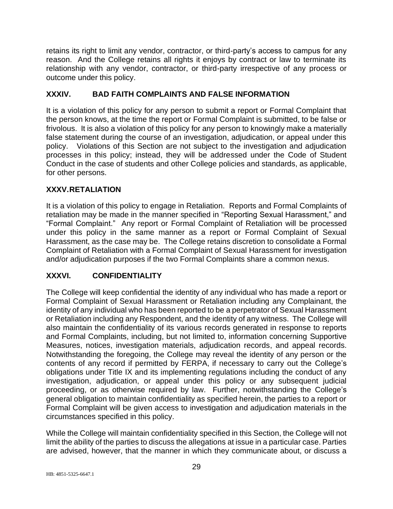retains its right to limit any vendor, contractor, or third-party's access to campus for any reason. And the College retains all rights it enjoys by contract or law to terminate its relationship with any vendor, contractor, or third-party irrespective of any process or outcome under this policy.

# **XXXIV. BAD FAITH COMPLAINTS AND FALSE INFORMATION**

It is a violation of this policy for any person to submit a report or Formal Complaint that the person knows, at the time the report or Formal Complaint is submitted, to be false or frivolous. It is also a violation of this policy for any person to knowingly make a materially false statement during the course of an investigation, adjudication, or appeal under this policy. Violations of this Section are not subject to the investigation and adjudication processes in this policy; instead, they will be addressed under the Code of Student Conduct in the case of students and other College policies and standards, as applicable, for other persons.

### **XXXV.RETALIATION**

It is a violation of this policy to engage in Retaliation. Reports and Formal Complaints of retaliation may be made in the manner specified in "Reporting Sexual Harassment," and "Formal Complaint." Any report or Formal Complaint of Retaliation will be processed under this policy in the same manner as a report or Formal Complaint of Sexual Harassment, as the case may be. The College retains discretion to consolidate a Formal Complaint of Retaliation with a Formal Complaint of Sexual Harassment for investigation and/or adjudication purposes if the two Formal Complaints share a common nexus.

### **XXXVI. CONFIDENTIALITY**

The College will keep confidential the identity of any individual who has made a report or Formal Complaint of Sexual Harassment or Retaliation including any Complainant, the identity of any individual who has been reported to be a perpetrator of Sexual Harassment or Retaliation including any Respondent, and the identity of any witness. The College will also maintain the confidentiality of its various records generated in response to reports and Formal Complaints, including, but not limited to, information concerning Supportive Measures, notices, investigation materials, adjudication records, and appeal records. Notwithstanding the foregoing, the College may reveal the identity of any person or the contents of any record if permitted by FERPA, if necessary to carry out the College's obligations under Title IX and its implementing regulations including the conduct of any investigation, adjudication, or appeal under this policy or any subsequent judicial proceeding, or as otherwise required by law. Further, notwithstanding the College's general obligation to maintain confidentiality as specified herein, the parties to a report or Formal Complaint will be given access to investigation and adjudication materials in the circumstances specified in this policy.

While the College will maintain confidentiality specified in this Section, the College will not limit the ability of the parties to discuss the allegations at issue in a particular case. Parties are advised, however, that the manner in which they communicate about, or discuss a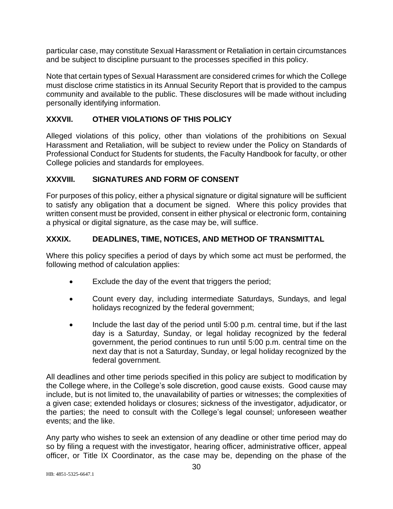particular case, may constitute Sexual Harassment or Retaliation in certain circumstances and be subject to discipline pursuant to the processes specified in this policy.

Note that certain types of Sexual Harassment are considered crimes for which the College must disclose crime statistics in its Annual Security Report that is provided to the campus community and available to the public. These disclosures will be made without including personally identifying information.

### **XXXVII. OTHER VIOLATIONS OF THIS POLICY**

Alleged violations of this policy, other than violations of the prohibitions on Sexual Harassment and Retaliation, will be subject to review under the Policy on Standards of Professional Conduct for Students for students, the Faculty Handbook for faculty, or other College policies and standards for employees.

#### **XXXVIII. SIGNATURES AND FORM OF CONSENT**

For purposes of this policy, either a physical signature or digital signature will be sufficient to satisfy any obligation that a document be signed. Where this policy provides that written consent must be provided, consent in either physical or electronic form, containing a physical or digital signature, as the case may be, will suffice.

#### **XXXIX. DEADLINES, TIME, NOTICES, AND METHOD OF TRANSMITTAL**

Where this policy specifies a period of days by which some act must be performed, the following method of calculation applies:

- Exclude the day of the event that triggers the period;
- Count every day, including intermediate Saturdays, Sundays, and legal holidays recognized by the federal government;
- Include the last day of the period until 5:00 p.m. central time, but if the last day is a Saturday, Sunday, or legal holiday recognized by the federal government, the period continues to run until 5:00 p.m. central time on the next day that is not a Saturday, Sunday, or legal holiday recognized by the federal government.

All deadlines and other time periods specified in this policy are subject to modification by the College where, in the College's sole discretion, good cause exists. Good cause may include, but is not limited to, the unavailability of parties or witnesses; the complexities of a given case; extended holidays or closures; sickness of the investigator, adjudicator, or the parties; the need to consult with the College's legal counsel; unforeseen weather events; and the like.

Any party who wishes to seek an extension of any deadline or other time period may do so by filing a request with the investigator, hearing officer, administrative officer, appeal officer, or Title IX Coordinator, as the case may be, depending on the phase of the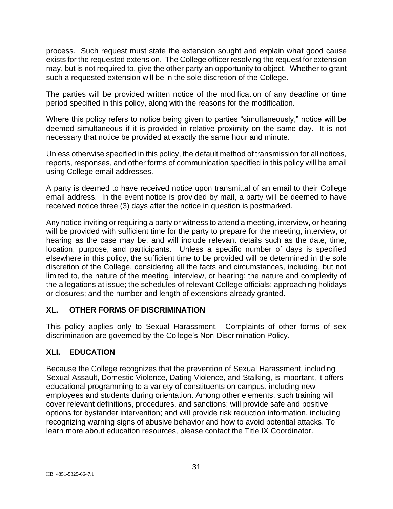process. Such request must state the extension sought and explain what good cause exists for the requested extension. The College officer resolving the request for extension may, but is not required to, give the other party an opportunity to object. Whether to grant such a requested extension will be in the sole discretion of the College.

The parties will be provided written notice of the modification of any deadline or time period specified in this policy, along with the reasons for the modification.

Where this policy refers to notice being given to parties "simultaneously," notice will be deemed simultaneous if it is provided in relative proximity on the same day. It is not necessary that notice be provided at exactly the same hour and minute.

Unless otherwise specified in this policy, the default method of transmission for all notices, reports, responses, and other forms of communication specified in this policy will be email using College email addresses.

A party is deemed to have received notice upon transmittal of an email to their College email address. In the event notice is provided by mail, a party will be deemed to have received notice three (3) days after the notice in question is postmarked.

Any notice inviting or requiring a party or witness to attend a meeting, interview, or hearing will be provided with sufficient time for the party to prepare for the meeting, interview, or hearing as the case may be, and will include relevant details such as the date, time, location, purpose, and participants. Unless a specific number of days is specified elsewhere in this policy, the sufficient time to be provided will be determined in the sole discretion of the College, considering all the facts and circumstances, including, but not limited to, the nature of the meeting, interview, or hearing; the nature and complexity of the allegations at issue; the schedules of relevant College officials; approaching holidays or closures; and the number and length of extensions already granted.

# **XL. OTHER FORMS OF DISCRIMINATION**

This policy applies only to Sexual Harassment. Complaints of other forms of sex discrimination are governed by the College's Non-Discrimination Policy.

# **XLI. EDUCATION**

Because the College recognizes that the prevention of Sexual Harassment, including Sexual Assault, Domestic Violence, Dating Violence, and Stalking, is important, it offers educational programming to a variety of constituents on campus, including new employees and students during orientation. Among other elements, such training will cover relevant definitions, procedures, and sanctions; will provide safe and positive options for bystander intervention; and will provide risk reduction information, including recognizing warning signs of abusive behavior and how to avoid potential attacks. To learn more about education resources, please contact the Title IX Coordinator.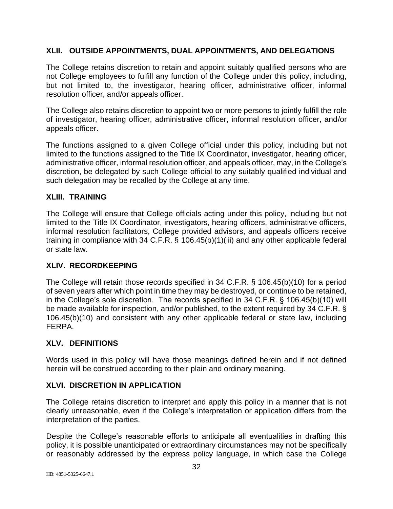#### **XLII. OUTSIDE APPOINTMENTS, DUAL APPOINTMENTS, AND DELEGATIONS**

The College retains discretion to retain and appoint suitably qualified persons who are not College employees to fulfill any function of the College under this policy, including, but not limited to, the investigator, hearing officer, administrative officer, informal resolution officer, and/or appeals officer.

The College also retains discretion to appoint two or more persons to jointly fulfill the role of investigator, hearing officer, administrative officer, informal resolution officer, and/or appeals officer.

The functions assigned to a given College official under this policy, including but not limited to the functions assigned to the Title IX Coordinator, investigator, hearing officer, administrative officer, informal resolution officer, and appeals officer, may, in the College's discretion, be delegated by such College official to any suitably qualified individual and such delegation may be recalled by the College at any time.

#### **XLIII. TRAINING**

The College will ensure that College officials acting under this policy, including but not limited to the Title IX Coordinator, investigators, hearing officers, administrative officers, informal resolution facilitators, College provided advisors, and appeals officers receive training in compliance with 34 C.F.R. § 106.45(b)(1)(iii) and any other applicable federal or state law.

#### **XLIV. RECORDKEEPING**

The College will retain those records specified in 34 C.F.R. § 106.45(b)(10) for a period of seven years after which point in time they may be destroyed, or continue to be retained, in the College's sole discretion. The records specified in 34 C.F.R. § 106.45(b)(10) will be made available for inspection, and/or published, to the extent required by 34 C.F.R. § 106.45(b)(10) and consistent with any other applicable federal or state law, including FERPA.

### **XLV. DEFINITIONS**

Words used in this policy will have those meanings defined herein and if not defined herein will be construed according to their plain and ordinary meaning.

### **XLVI. DISCRETION IN APPLICATION**

The College retains discretion to interpret and apply this policy in a manner that is not clearly unreasonable, even if the College's interpretation or application differs from the interpretation of the parties.

Despite the College's reasonable efforts to anticipate all eventualities in drafting this policy, it is possible unanticipated or extraordinary circumstances may not be specifically or reasonably addressed by the express policy language, in which case the College